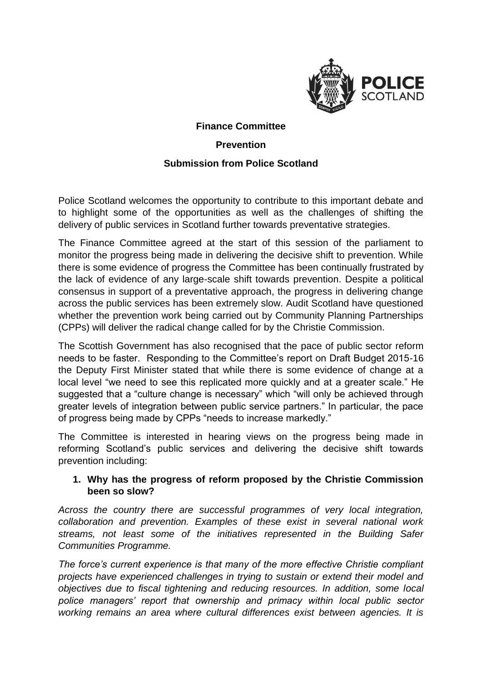

# **Finance Committee Prevention**

#### **Submission from Police Scotland**

Police Scotland welcomes the opportunity to contribute to this important debate and to highlight some of the opportunities as well as the challenges of shifting the delivery of public services in Scotland further towards preventative strategies.

The Finance Committee agreed at the start of this session of the parliament to monitor the progress being made in delivering the decisive shift to prevention. While there is some evidence of progress the Committee has been continually frustrated by the lack of evidence of any large-scale shift towards prevention. Despite a political consensus in support of a preventative approach, the progress in delivering change across the public services has been extremely slow. Audit Scotland have questioned whether the prevention work being carried out by Community Planning Partnerships (CPPs) will deliver the radical change called for by the Christie Commission.

The Scottish Government has also recognised that the pace of public sector reform needs to be faster. Responding to the Committee's report on Draft Budget 2015-16 the Deputy First Minister stated that while there is some evidence of change at a local level "we need to see this replicated more quickly and at a greater scale." He suggested that a "culture change is necessary" which "will only be achieved through greater levels of integration between public service partners." In particular, the pace of progress being made by CPPs "needs to increase markedly."

The Committee is interested in hearing views on the progress being made in reforming Scotland's public services and delivering the decisive shift towards prevention including:

### **1. Why has the progress of reform proposed by the Christie Commission been so slow?**

*Across the country there are successful programmes of very local integration, collaboration and prevention. Examples of these exist in several national work streams, not least some of the initiatives represented in the Building Safer Communities Programme.* 

*The force's current experience is that many of the more effective Christie compliant projects have experienced challenges in trying to sustain or extend their model and objectives due to fiscal tightening and reducing resources. In addition, some local police managers' report that ownership and primacy within local public sector working remains an area where cultural differences exist between agencies. It is*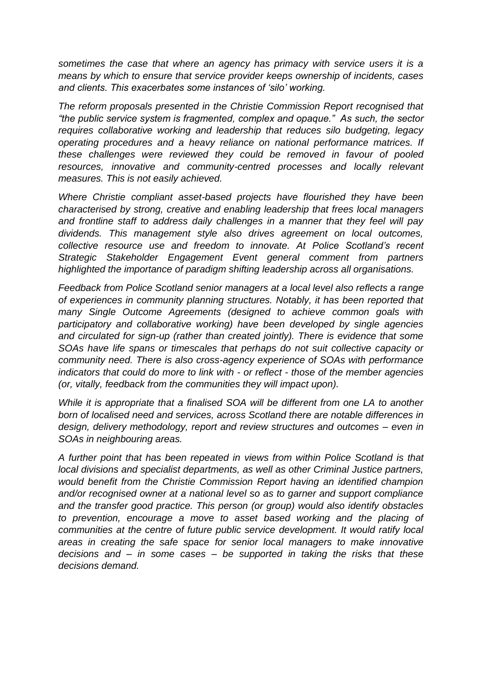*sometimes the case that where an agency has primacy with service users it is a means by which to ensure that service provider keeps ownership of incidents, cases and clients. This exacerbates some instances of 'silo' working.* 

*The reform proposals presented in the Christie Commission Report recognised that "the public service system is fragmented, complex and opaque." As such, the sector requires collaborative working and leadership that reduces silo budgeting, legacy operating procedures and a heavy reliance on national performance matrices. If these challenges were reviewed they could be removed in favour of pooled resources, innovative and community-centred processes and locally relevant measures. This is not easily achieved.* 

*Where Christie compliant asset-based projects have flourished they have been characterised by strong, creative and enabling leadership that frees local managers and frontline staff to address daily challenges in a manner that they feel will pay dividends. This management style also drives agreement on local outcomes, collective resource use and freedom to innovate. At Police Scotland's recent Strategic Stakeholder Engagement Event general comment from partners highlighted the importance of paradigm shifting leadership across all organisations.*

*Feedback from Police Scotland senior managers at a local level also reflects a range of experiences in community planning structures. Notably, it has been reported that many Single Outcome Agreements (designed to achieve common goals with participatory and collaborative working) have been developed by single agencies and circulated for sign-up (rather than created jointly). There is evidence that some SOAs have life spans or timescales that perhaps do not suit collective capacity or community need. There is also cross-agency experience of SOAs with performance indicators that could do more to link with - or reflect - those of the member agencies (or, vitally, feedback from the communities they will impact upon).*

*While it is appropriate that a finalised SOA will be different from one LA to another born of localised need and services, across Scotland there are notable differences in design, delivery methodology, report and review structures and outcomes – even in SOAs in neighbouring areas.* 

*A further point that has been repeated in views from within Police Scotland is that local divisions and specialist departments, as well as other Criminal Justice partners, would benefit from the Christie Commission Report having an identified champion and/or recognised owner at a national level so as to garner and support compliance and the transfer good practice. This person (or group) would also identify obstacles to prevention, encourage a move to asset based working and the placing of communities at the centre of future public service development. It would ratify local areas in creating the safe space for senior local managers to make innovative decisions and – in some cases – be supported in taking the risks that these decisions demand.*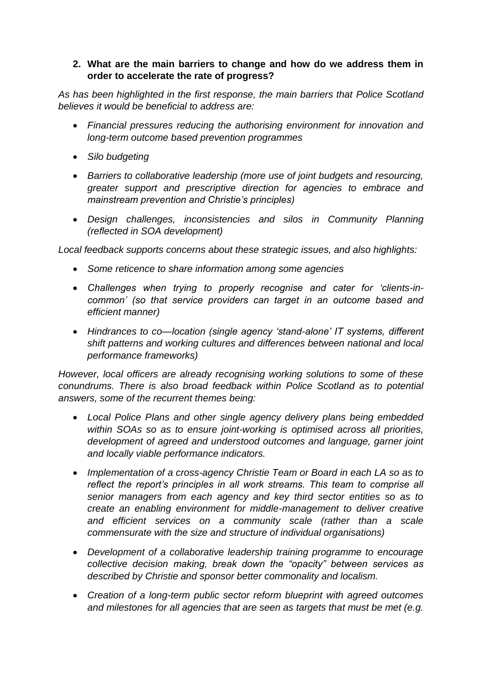## **2. What are the main barriers to change and how do we address them in order to accelerate the rate of progress?**

*As has been highlighted in the first response, the main barriers that Police Scotland believes it would be beneficial to address are:*

- *Financial pressures reducing the authorising environment for innovation and long-term outcome based prevention programmes*
- *Silo budgeting*
- *Barriers to collaborative leadership (more use of joint budgets and resourcing, greater support and prescriptive direction for agencies to embrace and mainstream prevention and Christie's principles)*
- *Design challenges, inconsistencies and silos in Community Planning (reflected in SOA development)*

*Local feedback supports concerns about these strategic issues, and also highlights:*

- *Some reticence to share information among some agencies*
- *Challenges when trying to properly recognise and cater for 'clients-incommon' (so that service providers can target in an outcome based and efficient manner)*
- *Hindrances to co—location (single agency 'stand-alone' IT systems, different shift patterns and working cultures and differences between national and local performance frameworks)*

*However, local officers are already recognising working solutions to some of these conundrums. There is also broad feedback within Police Scotland as to potential answers, some of the recurrent themes being:*

- *Local Police Plans and other single agency delivery plans being embedded within SOAs so as to ensure joint-working is optimised across all priorities, development of agreed and understood outcomes and language, garner joint and locally viable performance indicators.*
- *Implementation of a cross-agency Christie Team or Board in each LA so as to reflect the report's principles in all work streams. This team to comprise all senior managers from each agency and key third sector entities so as to create an enabling environment for middle-management to deliver creative and efficient services on a community scale (rather than a scale commensurate with the size and structure of individual organisations)*
- *Development of a collaborative leadership training programme to encourage collective decision making, break down the "opacity" between services as described by Christie and sponsor better commonality and localism.*
- *Creation of a long-term public sector reform blueprint with agreed outcomes and milestones for all agencies that are seen as targets that must be met (e.g.*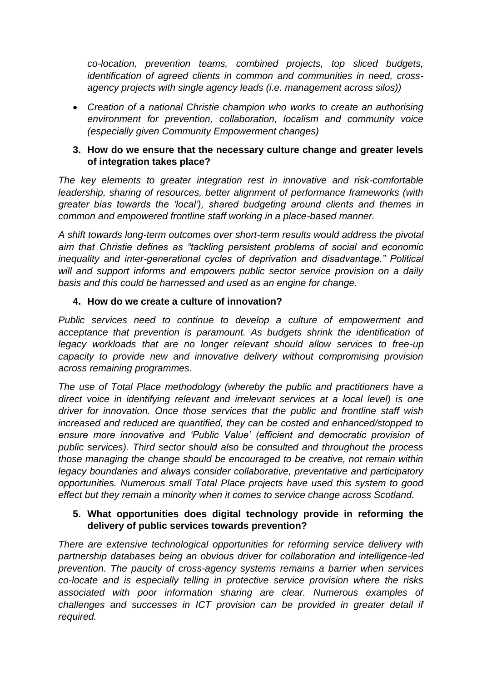*co-location, prevention teams, combined projects, top sliced budgets, identification of agreed clients in common and communities in need, crossagency projects with single agency leads (i.e. management across silos))*

 *Creation of a national Christie champion who works to create an authorising environment for prevention, collaboration, localism and community voice (especially given Community Empowerment changes)*

### **3. How do we ensure that the necessary culture change and greater levels of integration takes place?**

*The key elements to greater integration rest in innovative and risk-comfortable leadership, sharing of resources, better alignment of performance frameworks (with greater bias towards the 'local'), shared budgeting around clients and themes in common and empowered frontline staff working in a place-based manner.* 

*A shift towards long-term outcomes over short-term results would address the pivotal aim that Christie defines as "tackling persistent problems of social and economic inequality and inter-generational cycles of deprivation and disadvantage." Political will and support informs and empowers public sector service provision on a daily basis and this could be harnessed and used as an engine for change.*

### **4. How do we create a culture of innovation?**

*Public services need to continue to develop a culture of empowerment and acceptance that prevention is paramount. As budgets shrink the identification of legacy workloads that are no longer relevant should allow services to free-up capacity to provide new and innovative delivery without compromising provision across remaining programmes.*

*The use of Total Place methodology (whereby the public and practitioners have a direct voice in identifying relevant and irrelevant services at a local level) is one driver for innovation. Once those services that the public and frontline staff wish increased and reduced are quantified, they can be costed and enhanced/stopped to ensure more innovative and 'Public Value' (efficient and democratic provision of public services). Third sector should also be consulted and throughout the process those managing the change should be encouraged to be creative, not remain within legacy boundaries and always consider collaborative, preventative and participatory opportunities. Numerous small Total Place projects have used this system to good effect but they remain a minority when it comes to service change across Scotland.*

## **5. What opportunities does digital technology provide in reforming the delivery of public services towards prevention?**

*There are extensive technological opportunities for reforming service delivery with partnership databases being an obvious driver for collaboration and intelligence-led prevention. The paucity of cross-agency systems remains a barrier when services co-locate and is especially telling in protective service provision where the risks associated with poor information sharing are clear. Numerous examples of challenges and successes in ICT provision can be provided in greater detail if required.*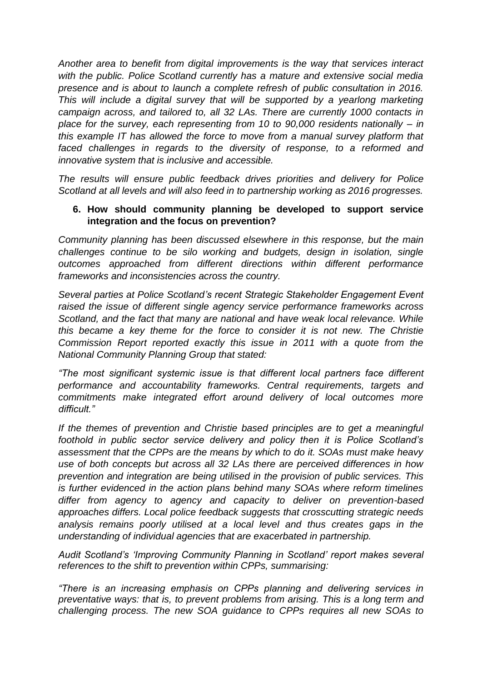*Another area to benefit from digital improvements is the way that services interact with the public. Police Scotland currently has a mature and extensive social media presence and is about to launch a complete refresh of public consultation in 2016. This will include a digital survey that will be supported by a yearlong marketing campaign across, and tailored to, all 32 LAs. There are currently 1000 contacts in place for the survey, each representing from 10 to 90,000 residents nationally – in this example IT has allowed the force to move from a manual survey platform that faced challenges in regards to the diversity of response, to a reformed and innovative system that is inclusive and accessible.*

*The results will ensure public feedback drives priorities and delivery for Police Scotland at all levels and will also feed in to partnership working as 2016 progresses.*

#### **6. How should community planning be developed to support service integration and the focus on prevention?**

*Community planning has been discussed elsewhere in this response, but the main challenges continue to be silo working and budgets, design in isolation, single outcomes approached from different directions within different performance frameworks and inconsistencies across the country.* 

*Several parties at Police Scotland's recent Strategic Stakeholder Engagement Event raised the issue of different single agency service performance frameworks across Scotland, and the fact that many are national and have weak local relevance. While this became a key theme for the force to consider it is not new. The Christie Commission Report reported exactly this issue in 2011 with a quote from the National Community Planning Group that stated:*

*"The most significant systemic issue is that different local partners face different performance and accountability frameworks. Central requirements, targets and commitments make integrated effort around delivery of local outcomes more difficult."*

*If the themes of prevention and Christie based principles are to get a meaningful foothold in public sector service delivery and policy then it is Police Scotland's assessment that the CPPs are the means by which to do it. SOAs must make heavy use of both concepts but across all 32 LAs there are perceived differences in how prevention and integration are being utilised in the provision of public services. This is further evidenced in the action plans behind many SOAs where reform timelines differ from agency to agency and capacity to deliver on prevention-based approaches differs. Local police feedback suggests that crosscutting strategic needs analysis remains poorly utilised at a local level and thus creates gaps in the understanding of individual agencies that are exacerbated in partnership.*

*Audit Scotland's 'Improving Community Planning in Scotland' report makes several references to the shift to prevention within CPPs, summarising:*

*"There is an increasing emphasis on CPPs planning and delivering services in preventative ways: that is, to prevent problems from arising. This is a long term and challenging process. The new SOA guidance to CPPs requires all new SOAs to*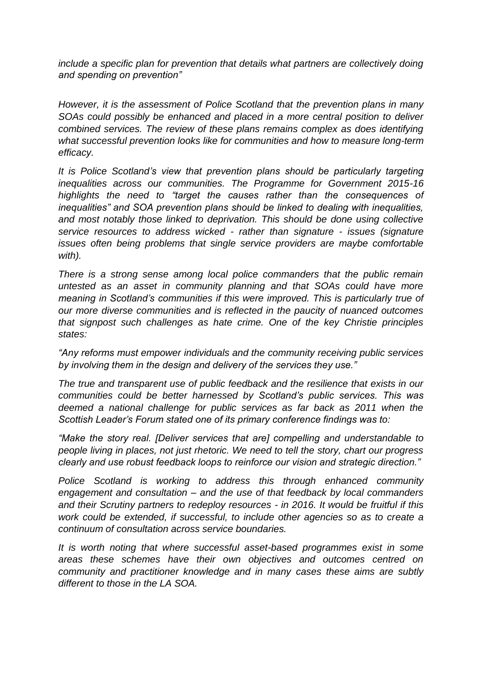*include a specific plan for prevention that details what partners are collectively doing and spending on prevention"* 

*However, it is the assessment of Police Scotland that the prevention plans in many SOAs could possibly be enhanced and placed in a more central position to deliver combined services. The review of these plans remains complex as does identifying what successful prevention looks like for communities and how to measure long-term efficacy.* 

*It is Police Scotland's view that prevention plans should be particularly targeting inequalities across our communities. The Programme for Government 2015-16 highlights the need to "target the causes rather than the consequences of inequalities" and SOA prevention plans should be linked to dealing with inequalities, and most notably those linked to deprivation. This should be done using collective service resources to address wicked - rather than signature - issues (signature issues often being problems that single service providers are maybe comfortable with).*

*There is a strong sense among local police commanders that the public remain untested as an asset in community planning and that SOAs could have more meaning in Scotland's communities if this were improved. This is particularly true of our more diverse communities and is reflected in the paucity of nuanced outcomes that signpost such challenges as hate crime. One of the key Christie principles states:*

*"Any reforms must empower individuals and the community receiving public services by involving them in the design and delivery of the services they use."*

*The true and transparent use of public feedback and the resilience that exists in our communities could be better harnessed by Scotland's public services. This was deemed a national challenge for public services as far back as 2011 when the Scottish Leader's Forum stated one of its primary conference findings was to:*

*"Make the story real. [Deliver services that are] compelling and understandable to people living in places, not just rhetoric. We need to tell the story, chart our progress clearly and use robust feedback loops to reinforce our vision and strategic direction."*

*Police Scotland is working to address this through enhanced community engagement and consultation – and the use of that feedback by local commanders and their Scrutiny partners to redeploy resources - in 2016. It would be fruitful if this work could be extended, if successful, to include other agencies so as to create a continuum of consultation across service boundaries.*

*It is worth noting that where successful asset-based programmes exist in some areas these schemes have their own objectives and outcomes centred on community and practitioner knowledge and in many cases these aims are subtly different to those in the LA SOA.*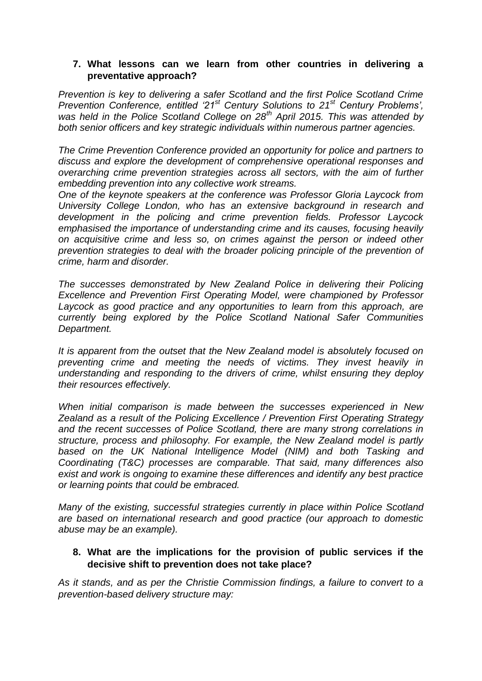### **7. What lessons can we learn from other countries in delivering a preventative approach?**

*Prevention is key to delivering a safer Scotland and the first Police Scotland Crime Prevention Conference, entitled '21st Century Solutions to 21st Century Problems', was held in the Police Scotland College on 28th April 2015. This was attended by both senior officers and key strategic individuals within numerous partner agencies.* 

*The Crime Prevention Conference provided an opportunity for police and partners to discuss and explore the development of comprehensive operational responses and overarching crime prevention strategies across all sectors, with the aim of further embedding prevention into any collective work streams.*

*One of the keynote speakers at the conference was Professor Gloria Laycock from University College London, who has an extensive background in research and development in the policing and crime prevention fields. Professor Laycock emphasised the importance of understanding crime and its causes, focusing heavily on acquisitive crime and less so, on crimes against the person or indeed other prevention strategies to deal with the broader policing principle of the prevention of crime, harm and disorder.* 

*The successes demonstrated by New Zealand Police in delivering their Policing Excellence and Prevention First Operating Model, were championed by Professor*  Laycock as good practice and any opportunities to learn from this approach, are *currently being explored by the Police Scotland National Safer Communities Department.*

*It is apparent from the outset that the New Zealand model is absolutely focused on preventing crime and meeting the needs of victims. They invest heavily in understanding and responding to the drivers of crime, whilst ensuring they deploy their resources effectively.* 

*When initial comparison is made between the successes experienced in New Zealand as a result of the Policing Excellence / Prevention First Operating Strategy and the recent successes of Police Scotland, there are many strong correlations in structure, process and philosophy. For example, the New Zealand model is partly based on the UK National Intelligence Model (NIM) and both Tasking and Coordinating (T&C) processes are comparable. That said, many differences also exist and work is ongoing to examine these differences and identify any best practice or learning points that could be embraced.*

*Many of the existing, successful strategies currently in place within Police Scotland are based on international research and good practice (our approach to domestic abuse may be an example).* 

### **8. What are the implications for the provision of public services if the decisive shift to prevention does not take place?**

*As it stands, and as per the Christie Commission findings, a failure to convert to a prevention-based delivery structure may:*